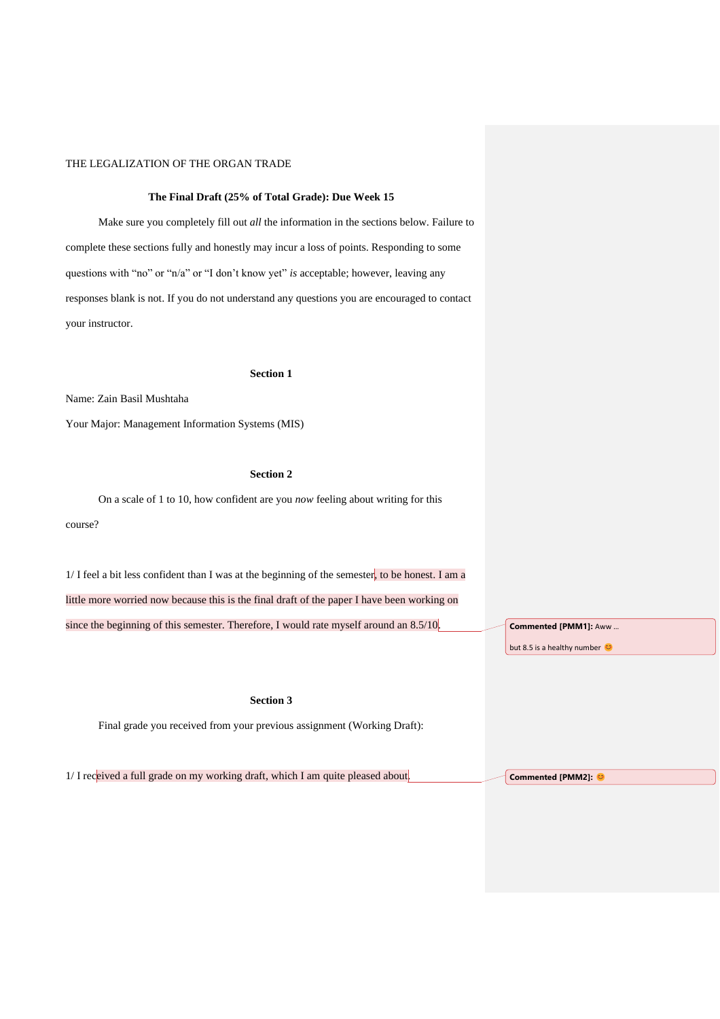### **The Final Draft (25% of Total Grade): Due Week 15**

Make sure you completely fill out *all* the information in the sections below. Failure to complete these sections fully and honestly may incur a loss of points. Responding to some questions with "no" or "n/a" or "I don't know yet" *is* acceptable; however, leaving any responses blank is not. If you do not understand any questions you are encouraged to contact your instructor.

#### **Section 1**

Name: Zain Basil Mushtaha

Your Major: Management Information Systems (MIS)

# **Section 2**

On a scale of 1 to 10, how confident are you *now* feeling about writing for this course?

1/ I feel a bit less confident than I was at the beginning of the semester, to be honest. I am a little more worried now because this is the final draft of the paper I have been working on since the beginning of this semester. Therefore, I would rate myself around an 8.5/10.

**Section 3**

Final grade you received from your previous assignment (Working Draft):

1/ I received a full grade on my working draft, which I am quite pleased about.

**Commented [PMM1]:** Aww …

but 8.5 is a healthy number

**Commented [PMM2]:**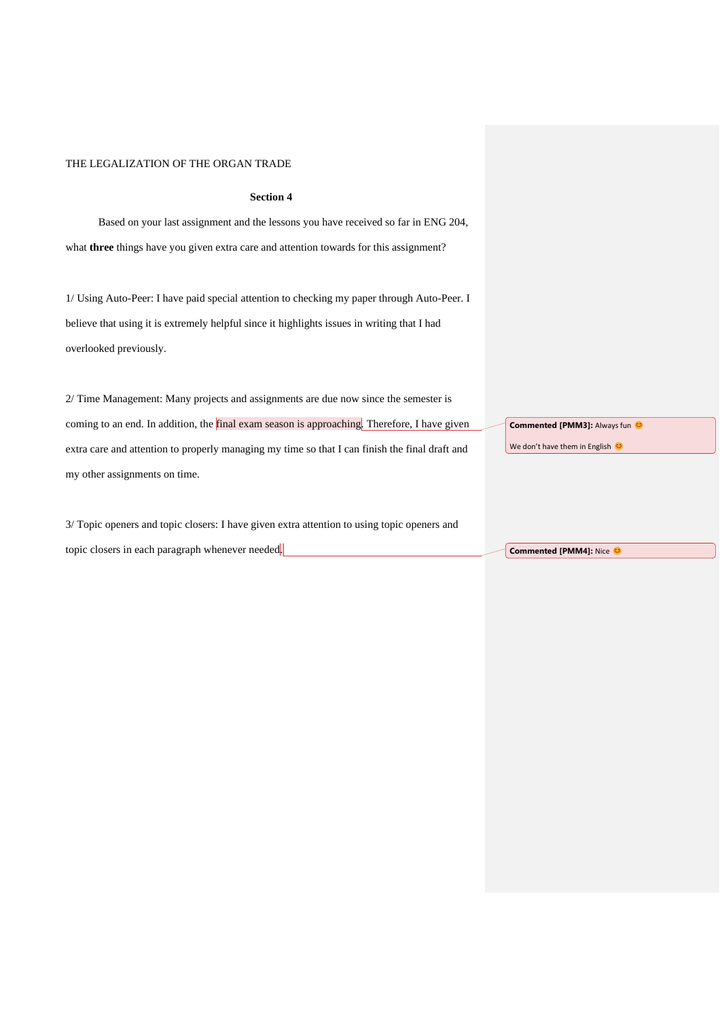### **Section 4**

Based on your last assignment and the lessons you have received so far in ENG 204, what **three** things have you given extra care and attention towards for this assignment?

1/ Using Auto-Peer: I have paid special attention to checking my paper through Auto-Peer. I believe that using it is extremely helpful since it highlights issues in writing that I had overlooked previously.

2/ Time Management: Many projects and assignments are due now since the semester is coming to an end. In addition, the final exam season is approaching. Therefore, I have given extra care and attention to properly managing my time so that I can finish the final draft and my other assignments on time.

3/ Topic openers and topic closers: I have given extra attention to using topic openers and topic closers in each paragraph whenever needed.

**Commented [PMM3]: Always fun @** We don't have them in English

**Commented [PMM4]: Nice @**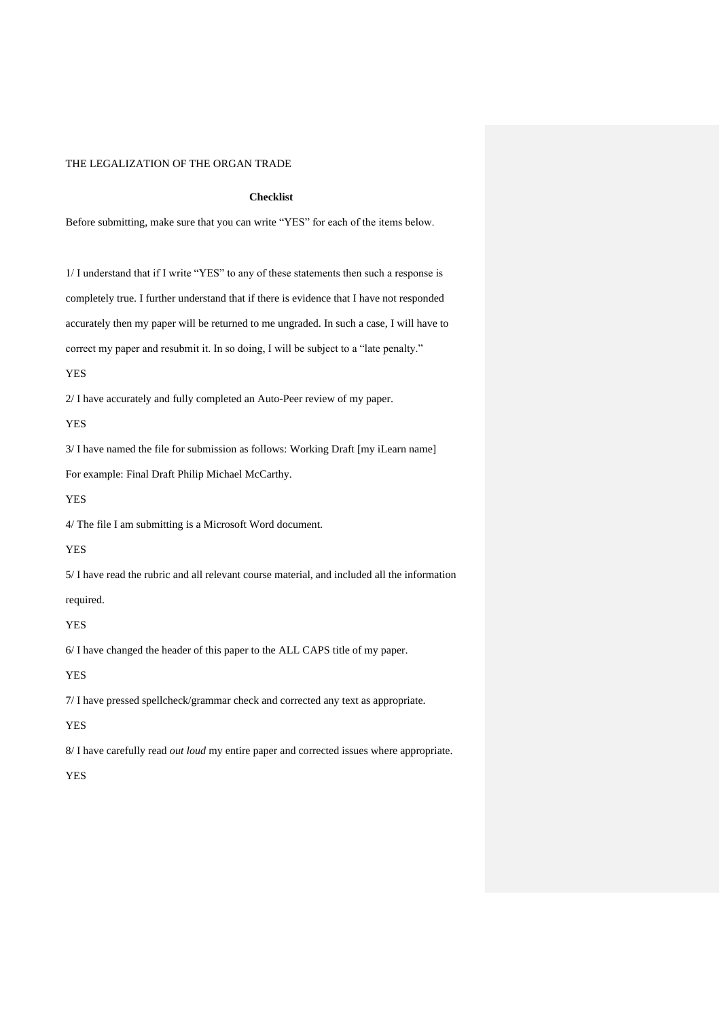### **Checklist**

Before submitting, make sure that you can write "YES" for each of the items below.

1/ I understand that if I write "YES" to any of these statements then such a response is completely true. I further understand that if there is evidence that I have not responded accurately then my paper will be returned to me ungraded. In such a case, I will have to correct my paper and resubmit it. In so doing, I will be subject to a "late penalty."

#### YES

2/ I have accurately and fully completed an Auto-Peer review of my paper.

YES

3/ I have named the file for submission as follows: Working Draft [my iLearn name]

For example: Final Draft Philip Michael McCarthy.

YES

4/ The file I am submitting is a Microsoft Word document.

YES

5/ I have read the rubric and all relevant course material, and included all the information

required.

## YES

6/ I have changed the header of this paper to the ALL CAPS title of my paper.

YES

7/ I have pressed spellcheck/grammar check and corrected any text as appropriate.

# YES

8/ I have carefully read *out loud* my entire paper and corrected issues where appropriate.

YES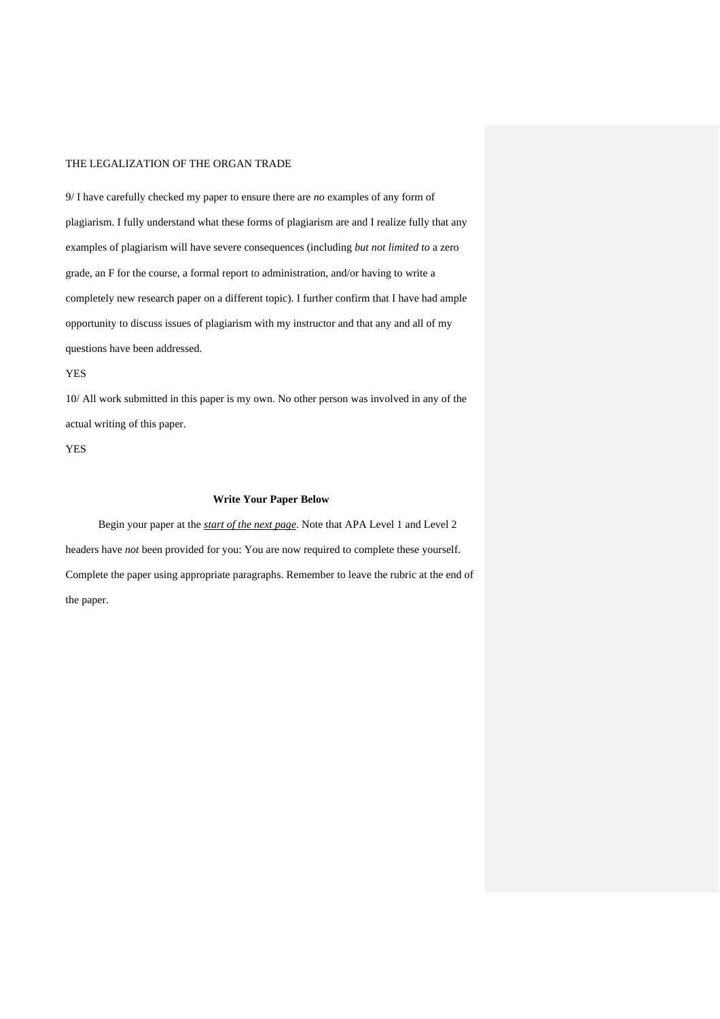9/ I have carefully checked my paper to ensure there are *no* examples of any form of plagiarism. I fully understand what these forms of plagiarism are and I realize fully that any examples of plagiarism will have severe consequences (including *but not limited to* a zero grade, an F for the course, a formal report to administration, and/or having to write a completely new research paper on a different topic). I further confirm that I have had ample opportunity to discuss issues of plagiarism with my instructor and that any and all of my questions have been addressed.

YES

10/ All work submitted in this paper is my own. No other person was involved in any of the actual writing of this paper.

YES

### **Write Your Paper Below**

Begin your paper at the *start of the next page*. Note that APA Level 1 and Level 2 headers have *not* been provided for you: You are now required to complete these yourself. Complete the paper using appropriate paragraphs. Remember to leave the rubric at the end of the paper.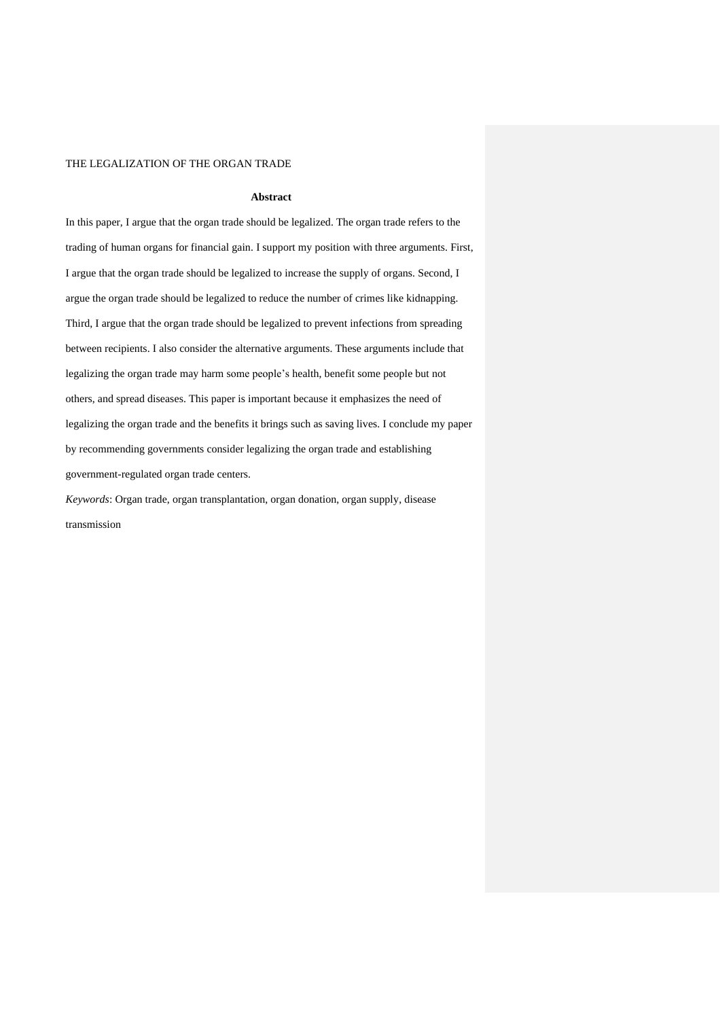### **Abstract**

In this paper, I argue that the organ trade should be legalized. The organ trade refers to the trading of human organs for financial gain. I support my position with three arguments. First, I argue that the organ trade should be legalized to increase the supply of organs. Second, I argue the organ trade should be legalized to reduce the number of crimes like kidnapping. Third, I argue that the organ trade should be legalized to prevent infections from spreading between recipients. I also consider the alternative arguments. These arguments include that legalizing the organ trade may harm some people's health, benefit some people but not others, and spread diseases. This paper is important because it emphasizes the need of legalizing the organ trade and the benefits it brings such as saving lives. I conclude my paper by recommending governments consider legalizing the organ trade and establishing government-regulated organ trade centers.

*Keywords*: Organ trade, organ transplantation, organ donation, organ supply, disease transmission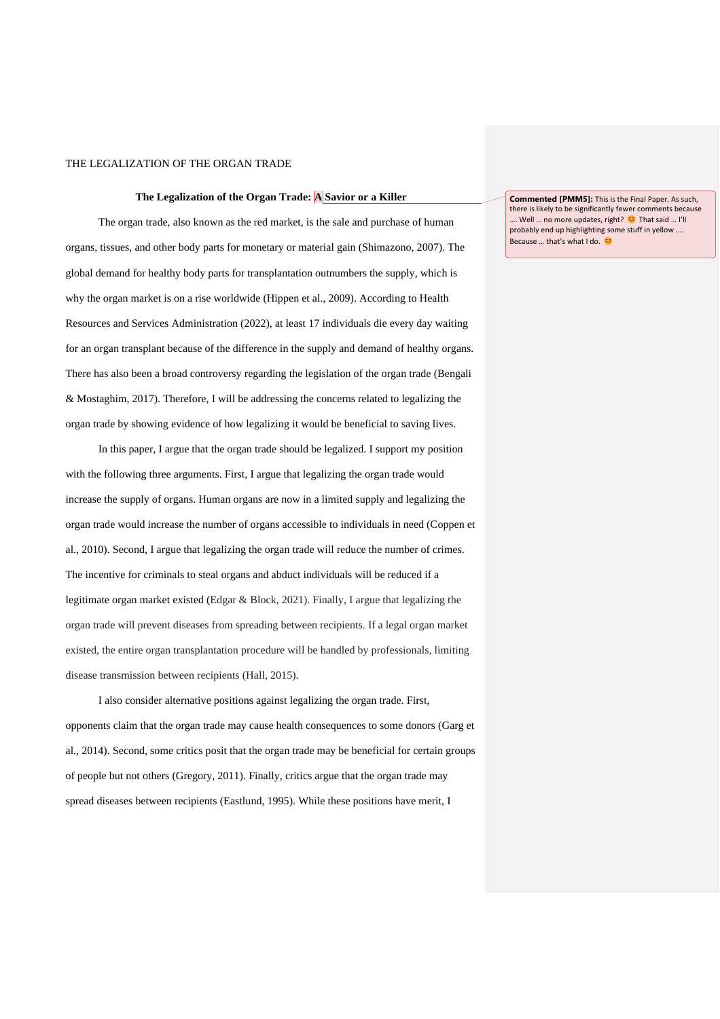### **The Legalization of the Organ Trade: A Savior or a Killer**

The organ trade, also known as the red market, is the sale and purchase of human organs, tissues, and other body parts for monetary or material gain (Shimazono, 2007). The global demand for healthy body parts for transplantation outnumbers the supply, which is why the organ market is on a rise worldwide (Hippen et al., 2009). According to Health Resources and Services Administration (2022), at least 17 individuals die every day waiting for an organ transplant because of the difference in the supply and demand of healthy organs. There has also been a broad controversy regarding the legislation of the organ trade (Bengali & Mostaghim, 2017). Therefore, I will be addressing the concerns related to legalizing the organ trade by showing evidence of how legalizing it would be beneficial to saving lives.

In this paper, I argue that the organ trade should be legalized. I support my position with the following three arguments. First, I argue that legalizing the organ trade would increase the supply of organs. Human organs are now in a limited supply and legalizing the organ trade would increase the number of organs accessible to individuals in need (Coppen et al., 2010). Second, I argue that legalizing the organ trade will reduce the number of crimes. The incentive for criminals to steal organs and abduct individuals will be reduced if a legitimate organ market existed (Edgar & Block, 2021). Finally, I argue that legalizing the organ trade will prevent diseases from spreading between recipients. If a legal organ market existed, the entire organ transplantation procedure will be handled by professionals, limiting disease transmission between recipients (Hall, 2015).

I also consider alternative positions against legalizing the organ trade. First, opponents claim that the organ trade may cause health consequences to some donors (Garg et al., 2014). Second, some critics posit that the organ trade may be beneficial for certain groups of people but not others (Gregory, 2011). Finally, critics argue that the organ trade may spread diseases between recipients (Eastlund, 1995). While these positions have merit, I

**Commented [PMM5]:** This is the Final Paper. As such, there is likely to be significantly fewer comments because … Well … no more updates, right? <sup>●</sup> That said … I'll probably end up highlighting some stuff in yellow …. Because ... that's what I do. ©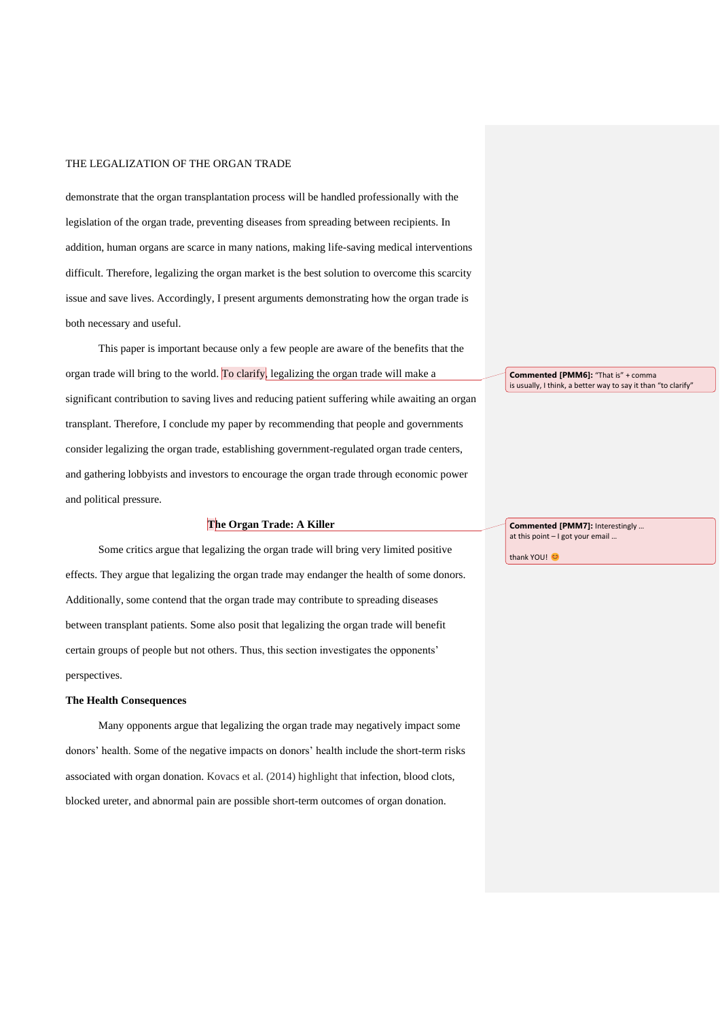demonstrate that the organ transplantation process will be handled professionally with the legislation of the organ trade, preventing diseases from spreading between recipients. In addition, human organs are scarce in many nations, making life-saving medical interventions difficult. Therefore, legalizing the organ market is the best solution to overcome this scarcity issue and save lives. Accordingly, I present arguments demonstrating how the organ trade is both necessary and useful.

This paper is important because only a few people are aware of the benefits that the organ trade will bring to the world. To clarify, legalizing the organ trade will make a significant contribution to saving lives and reducing patient suffering while awaiting an organ transplant. Therefore, I conclude my paper by recommending that people and governments consider legalizing the organ trade, establishing government-regulated organ trade centers, and gathering lobbyists and investors to encourage the organ trade through economic power and political pressure.

### **The Organ Trade: A Killer**

Some critics argue that legalizing the organ trade will bring very limited positive effects. They argue that legalizing the organ trade may endanger the health of some donors. Additionally, some contend that the organ trade may contribute to spreading diseases between transplant patients. Some also posit that legalizing the organ trade will benefit certain groups of people but not others. Thus, this section investigates the opponents' perspectives.

#### **The Health Consequences**

Many opponents argue that legalizing the organ trade may negatively impact some donors' health. Some of the negative impacts on donors' health include the short-term risks associated with organ donation. Kovacs et al. (2014) highlight that infection, blood clots, blocked ureter, and abnormal pain are possible short-term outcomes of organ donation.

**Commented [PMM6]:** "That is" + comma is usually, I think, a better way to say it than "to clarify"

**Commented [PMM7]:** Interestingly … at this point – I got your email …

thank YOU!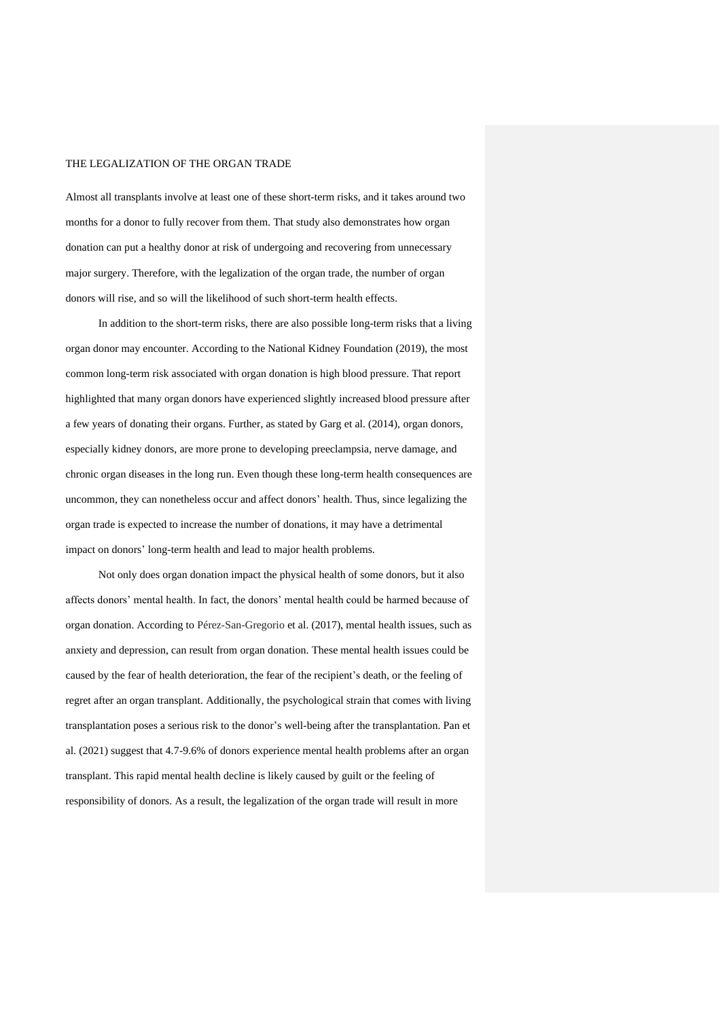Almost all transplants involve at least one of these short-term risks, and it takes around two months for a donor to fully recover from them. That study also demonstrates how organ donation can put a healthy donor at risk of undergoing and recovering from unnecessary major surgery. Therefore, with the legalization of the organ trade, the number of organ donors will rise, and so will the likelihood of such short-term health effects.

In addition to the short-term risks, there are also possible long-term risks that a living organ donor may encounter. According to the National Kidney Foundation (2019), the most common long-term risk associated with organ donation is high blood pressure. That report highlighted that many organ donors have experienced slightly increased blood pressure after a few years of donating their organs. Further, as stated by Garg et al. (2014), organ donors, especially kidney donors, are more prone to developing preeclampsia, nerve damage, and chronic organ diseases in the long run. Even though these long-term health consequences are uncommon, they can nonetheless occur and affect donors' health. Thus, since legalizing the organ trade is expected to increase the number of donations, it may have a detrimental impact on donors' long-term health and lead to major health problems.

Not only does organ donation impact the physical health of some donors, but it also affects donors' mental health. In fact, the donors' mental health could be harmed because of organ donation. According to Pérez-San-Gregorio et al. (2017), mental health issues, such as anxiety and depression, can result from organ donation. These mental health issues could be caused by the fear of health deterioration, the fear of the recipient's death, or the feeling of regret after an organ transplant. Additionally, the psychological strain that comes with living transplantation poses a serious risk to the donor's well-being after the transplantation. Pan et al. (2021) suggest that 4.7-9.6% of donors experience mental health problems after an organ transplant. This rapid mental health decline is likely caused by guilt or the feeling of responsibility of donors. As a result, the legalization of the organ trade will result in more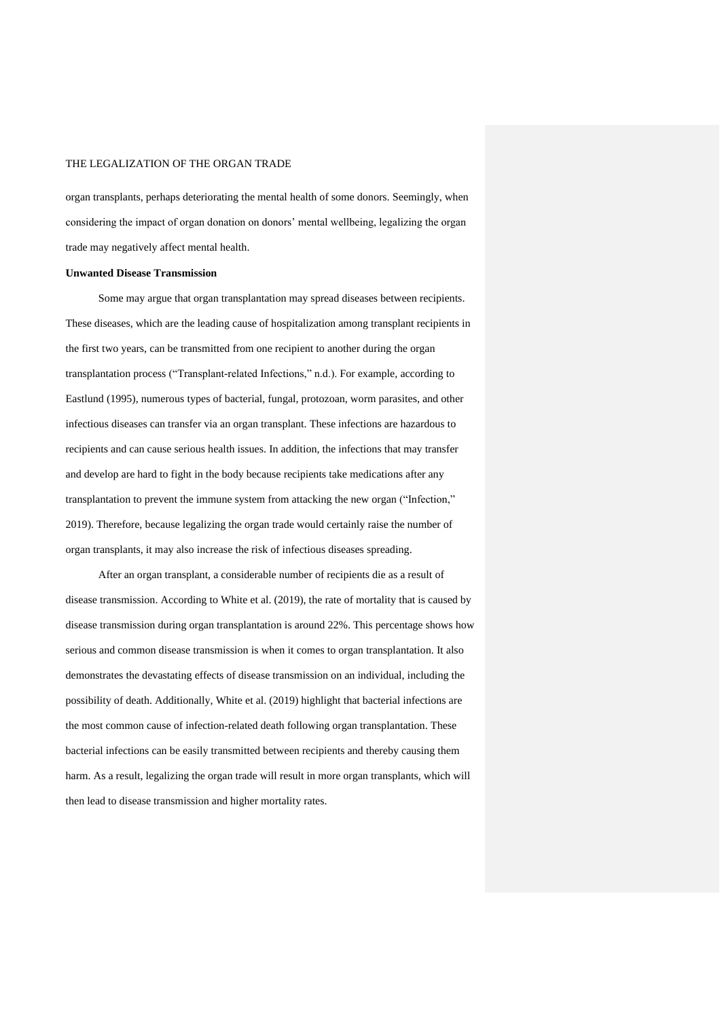organ transplants, perhaps deteriorating the mental health of some donors. Seemingly, when considering the impact of organ donation on donors' mental wellbeing, legalizing the organ trade may negatively affect mental health.

#### **Unwanted Disease Transmission**

Some may argue that organ transplantation may spread diseases between recipients. These diseases, which are the leading cause of hospitalization among transplant recipients in the first two years, can be transmitted from one recipient to another during the organ transplantation process ("Transplant-related Infections," n.d.). For example, according to Eastlund (1995), numerous types of bacterial, fungal, protozoan, worm parasites, and other infectious diseases can transfer via an organ transplant. These infections are hazardous to recipients and can cause serious health issues. In addition, the infections that may transfer and develop are hard to fight in the body because recipients take medications after any transplantation to prevent the immune system from attacking the new organ ("Infection," 2019). Therefore, because legalizing the organ trade would certainly raise the number of organ transplants, it may also increase the risk of infectious diseases spreading.

After an organ transplant, a considerable number of recipients die as a result of disease transmission. According to White et al. (2019), the rate of mortality that is caused by disease transmission during organ transplantation is around 22%. This percentage shows how serious and common disease transmission is when it comes to organ transplantation. It also demonstrates the devastating effects of disease transmission on an individual, including the possibility of death. Additionally, White et al. (2019) highlight that bacterial infections are the most common cause of infection-related death following organ transplantation. These bacterial infections can be easily transmitted between recipients and thereby causing them harm. As a result, legalizing the organ trade will result in more organ transplants, which will then lead to disease transmission and higher mortality rates.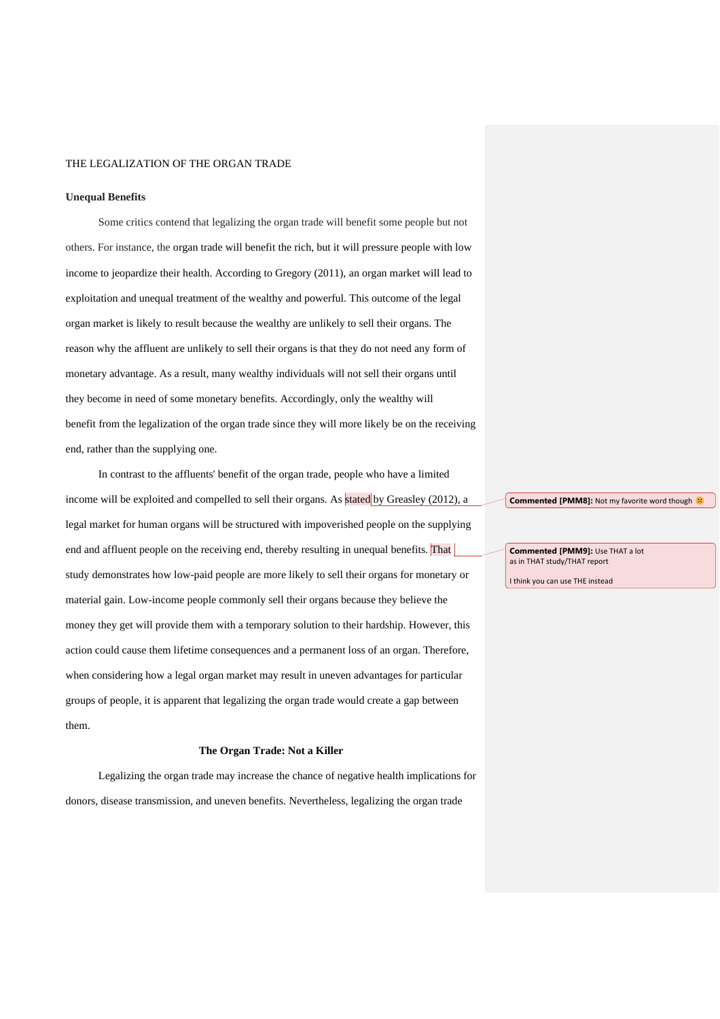#### **Unequal Benefits**

Some critics contend that legalizing the organ trade will benefit some people but not others. For instance, the organ trade will benefit the rich, but it will pressure people with low income to jeopardize their health. According to Gregory (2011), an organ market will lead to exploitation and unequal treatment of the wealthy and powerful. This outcome of the legal organ market is likely to result because the wealthy are unlikely to sell their organs. The reason why the affluent are unlikely to sell their organs is that they do not need any form of monetary advantage. As a result, many wealthy individuals will not sell their organs until they become in need of some monetary benefits. Accordingly, only the wealthy will benefit from the legalization of the organ trade since they will more likely be on the receiving end, rather than the supplying one.

In contrast to the affluents' benefit of the organ trade, people who have a limited income will be exploited and compelled to sell their organs. As stated by Greasley (2012), a legal market for human organs will be structured with impoverished people on the supplying end and affluent people on the receiving end, thereby resulting in unequal benefits. That study demonstrates how low-paid people are more likely to sell their organs for monetary or material gain. Low-income people commonly sell their organs because they believe the money they get will provide them with a temporary solution to their hardship. However, this action could cause them lifetime consequences and a permanent loss of an organ. Therefore, when considering how a legal organ market may result in uneven advantages for particular groups of people, it is apparent that legalizing the organ trade would create a gap between them.

#### **The Organ Trade: Not a Killer**

Legalizing the organ trade may increase the chance of negative health implications for donors, disease transmission, and uneven benefits. Nevertheless, legalizing the organ trade

**Commented [PMM8]:** Not my favorite word though  $\heartsuit$ 

**Commented [PMM9]:** Use THAT a lot as in THAT study/THAT report

I think you can use THE instead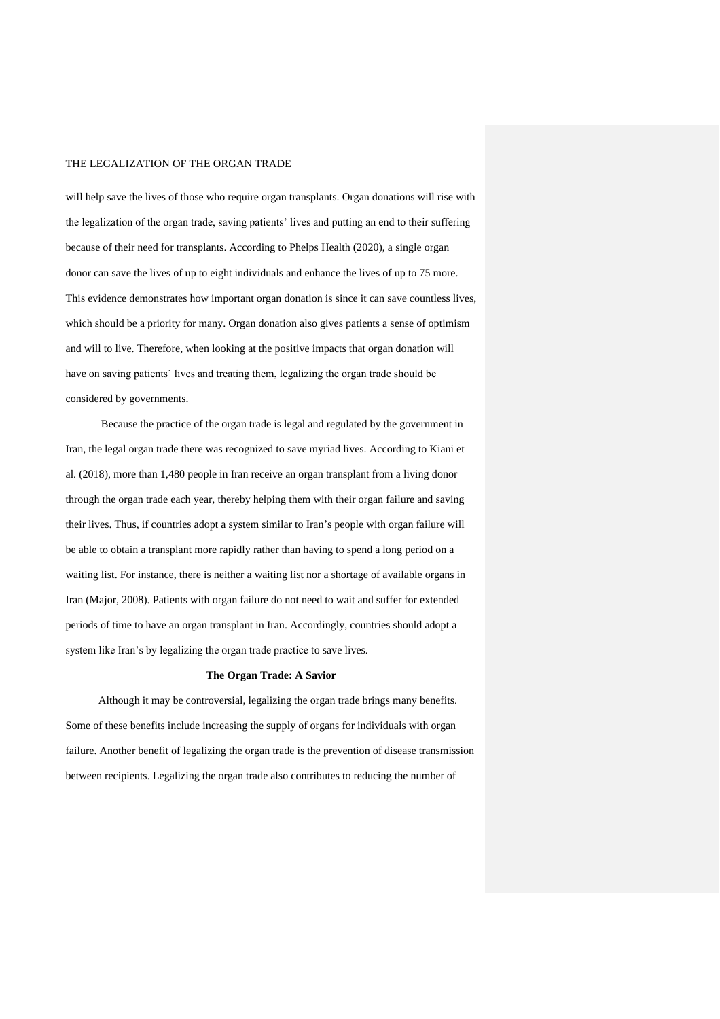will help save the lives of those who require organ transplants. Organ donations will rise with the legalization of the organ trade, saving patients' lives and putting an end to their suffering because of their need for transplants. According to Phelps Health (2020), a single organ donor can save the lives of up to eight individuals and enhance the lives of up to 75 more. This evidence demonstrates how important organ donation is since it can save countless lives, which should be a priority for many. Organ donation also gives patients a sense of optimism and will to live. Therefore, when looking at the positive impacts that organ donation will have on saving patients' lives and treating them, legalizing the organ trade should be considered by governments.

Because the practice of the organ trade is legal and regulated by the government in Iran, the legal organ trade there was recognized to save myriad lives. According to Kiani et al. (2018), more than 1,480 people in Iran receive an organ transplant from a living donor through the organ trade each year, thereby helping them with their organ failure and saving their lives. Thus, if countries adopt a system similar to Iran's people with organ failure will be able to obtain a transplant more rapidly rather than having to spend a long period on a waiting list. For instance, there is neither a waiting list nor a shortage of available organs in Iran (Major, 2008). Patients with organ failure do not need to wait and suffer for extended periods of time to have an organ transplant in Iran. Accordingly, countries should adopt a system like Iran's by legalizing the organ trade practice to save lives.

#### **The Organ Trade: A Savior**

Although it may be controversial, legalizing the organ trade brings many benefits. Some of these benefits include increasing the supply of organs for individuals with organ failure. Another benefit of legalizing the organ trade is the prevention of disease transmission between recipients. Legalizing the organ trade also contributes to reducing the number of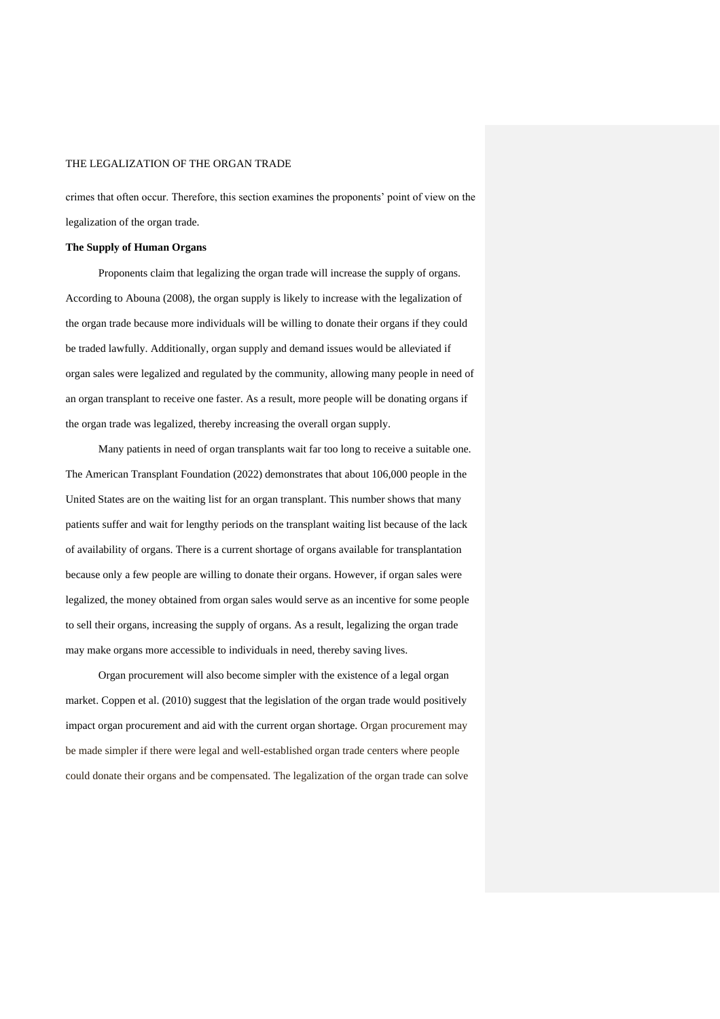crimes that often occur. Therefore, this section examines the proponents' point of view on the legalization of the organ trade.

#### **The Supply of Human Organs**

Proponents claim that legalizing the organ trade will increase the supply of organs. According to Abouna (2008), the organ supply is likely to increase with the legalization of the organ trade because more individuals will be willing to donate their organs if they could be traded lawfully. Additionally, organ supply and demand issues would be alleviated if organ sales were legalized and regulated by the community, allowing many people in need of an organ transplant to receive one faster. As a result, more people will be donating organs if the organ trade was legalized, thereby increasing the overall organ supply.

Many patients in need of organ transplants wait far too long to receive a suitable one. The American Transplant Foundation (2022) demonstrates that about 106,000 people in the United States are on the waiting list for an organ transplant. This number shows that many patients suffer and wait for lengthy periods on the transplant waiting list because of the lack of availability of organs. There is a current shortage of organs available for transplantation because only a few people are willing to donate their organs. However, if organ sales were legalized, the money obtained from organ sales would serve as an incentive for some people to sell their organs, increasing the supply of organs. As a result, legalizing the organ trade may make organs more accessible to individuals in need, thereby saving lives.

Organ procurement will also become simpler with the existence of a legal organ market. Coppen et al. (2010) suggest that the legislation of the organ trade would positively impact organ procurement and aid with the current organ shortage. Organ procurement may be made simpler if there were legal and well-established organ trade centers where people could donate their organs and be compensated. The legalization of the organ trade can solve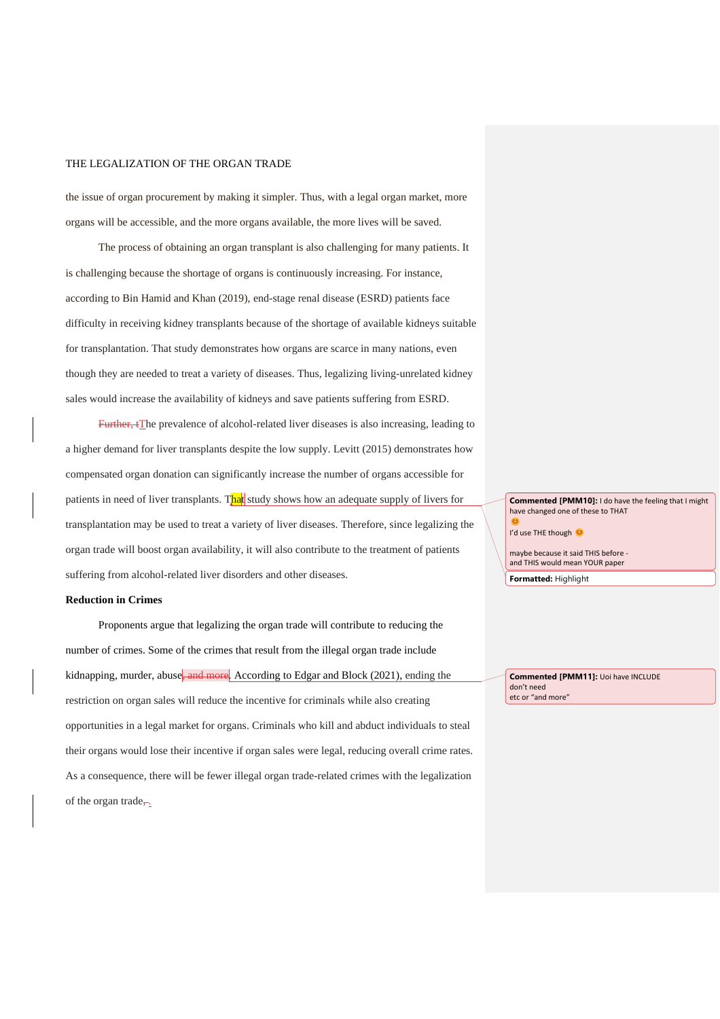the issue of organ procurement by making it simpler. Thus, with a legal organ market, more organs will be accessible, and the more organs available, the more lives will be saved.

The process of obtaining an organ transplant is also challenging for many patients. It is challenging because the shortage of organs is continuously increasing. For instance, according to Bin Hamid and Khan (2019), end-stage renal disease (ESRD) patients face difficulty in receiving kidney transplants because of the shortage of available kidneys suitable for transplantation. That study demonstrates how organs are scarce in many nations, even though they are needed to treat a variety of diseases. Thus, legalizing living-unrelated kidney sales would increase the availability of kidneys and save patients suffering from ESRD.

Further, tThe prevalence of alcohol-related liver diseases is also increasing, leading to a higher demand for liver transplants despite the low supply. Levitt (2015) demonstrates how compensated organ donation can significantly increase the number of organs accessible for patients in need of liver transplants. That study shows how an adequate supply of livers for transplantation may be used to treat a variety of liver diseases. Therefore, since legalizing the organ trade will boost organ availability, it will also contribute to the treatment of patients suffering from alcohol-related liver disorders and other diseases.

#### **Reduction in Crimes**

Proponents argue that legalizing the organ trade will contribute to reducing the number of crimes. Some of the crimes that result from the illegal organ trade include kidnapping, murder, abuse, and more. According to Edgar and Block (2021), ending the restriction on organ sales will reduce the incentive for criminals while also creating opportunities in a legal market for organs. Criminals who kill and abduct individuals to steal their organs would lose their incentive if organ sales were legal, reducing overall crime rates. As a consequence, there will be fewer illegal organ trade-related crimes with the legalization of the organ trade,-.

**Commented [PMM10]:** I do have the feeling that I might have changed one of these to THAT

C I'd use THE though

maybe because it said THIS before and THIS would mean YOUR paper

**Formatted:** Highlight

**Commented [PMM11]:** Uoi have INCLUDE don't need etc or "and more"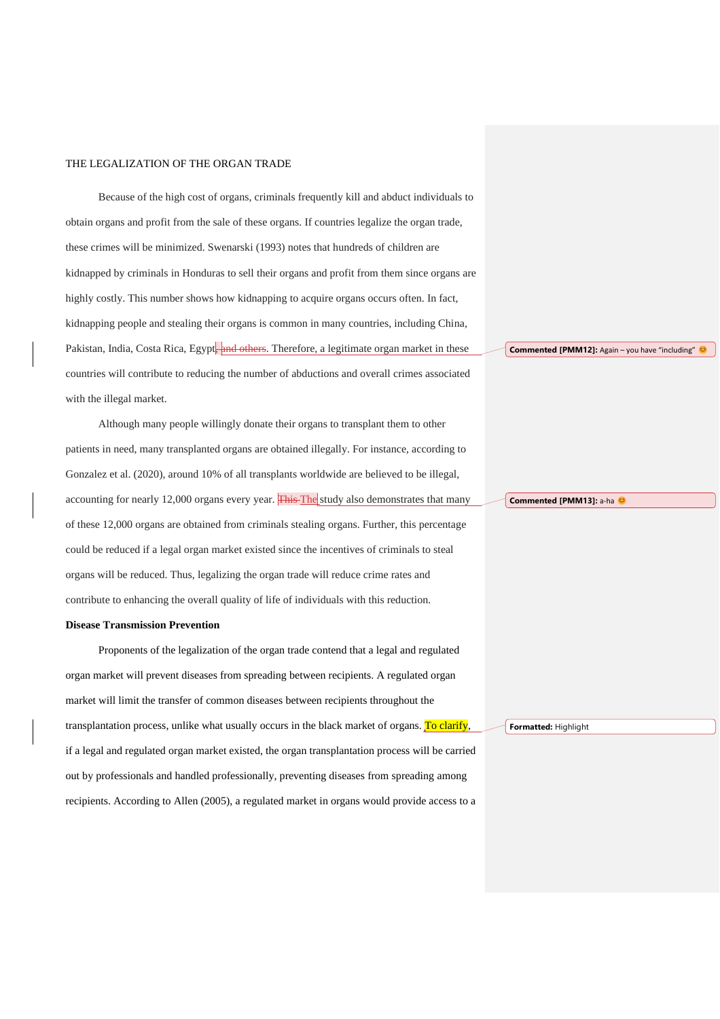Because of the high cost of organs, criminals frequently kill and abduct individuals to obtain organs and profit from the sale of these organs. If countries legalize the organ trade, these crimes will be minimized. Swenarski (1993) notes that hundreds of children are kidnapped by criminals in Honduras to sell their organs and profit from them since organs are highly costly. This number shows how kidnapping to acquire organs occurs often. In fact, kidnapping people and stealing their organs is common in many countries, including China, Pakistan, India, Costa Rica, Egypt, and others. Therefore, a legitimate organ market in these countries will contribute to reducing the number of abductions and overall crimes associated with the illegal market.

Although many people willingly donate their organs to transplant them to other patients in need, many transplanted organs are obtained illegally. For instance, according to Gonzalez et al. (2020), around 10% of all transplants worldwide are believed to be illegal, accounting for nearly 12,000 organs every year. This The study also demonstrates that many of these 12,000 organs are obtained from criminals stealing organs. Further, this percentage could be reduced if a legal organ market existed since the incentives of criminals to steal organs will be reduced. Thus, legalizing the organ trade will reduce crime rates and contribute to enhancing the overall quality of life of individuals with this reduction.

### **Disease Transmission Prevention**

Proponents of the legalization of the organ trade contend that a legal and regulated organ market will prevent diseases from spreading between recipients. A regulated organ market will limit the transfer of common diseases between recipients throughout the transplantation process, unlike what usually occurs in the black market of organs. To clarify, if a legal and regulated organ market existed, the organ transplantation process will be carried out by professionals and handled professionally, preventing diseases from spreading among recipients. According to Allen (2005), a regulated market in organs would provide access to a **Commented [PMM12]:** Again – you have "including"

**Commented [PMM13]:** a-ha

**Formatted:** Highlight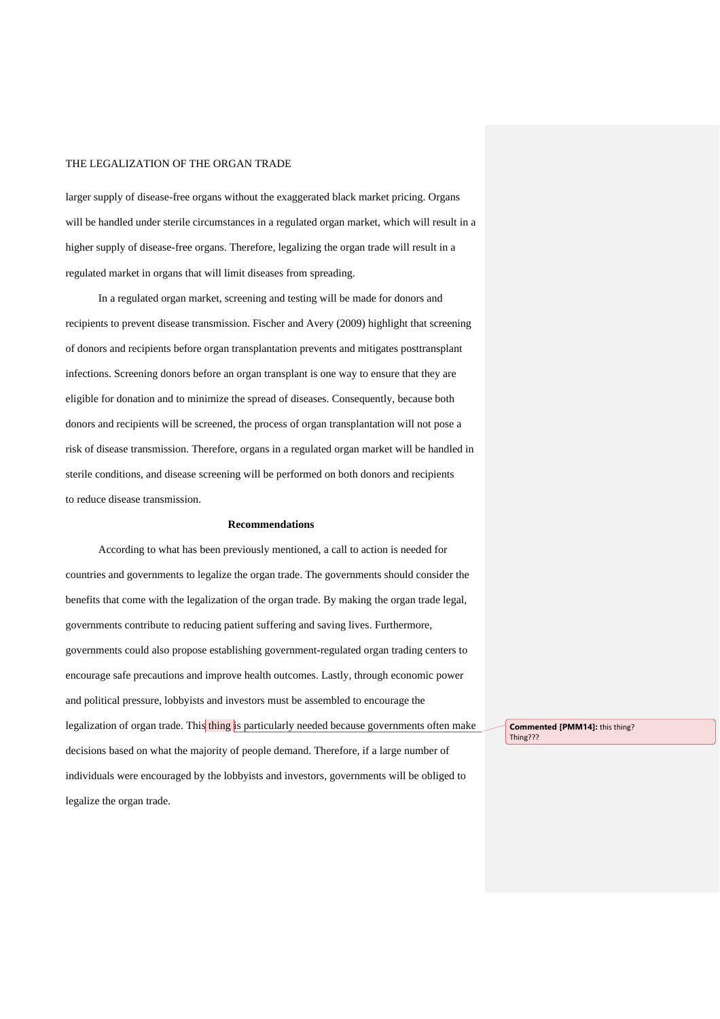larger supply of disease-free organs without the exaggerated black market pricing. Organs will be handled under sterile circumstances in a regulated organ market, which will result in a higher supply of disease-free organs. Therefore, legalizing the organ trade will result in a regulated market in organs that will limit diseases from spreading.

In a regulated organ market, screening and testing will be made for donors and recipients to prevent disease transmission. Fischer and Avery (2009) highlight that screening of donors and recipients before organ transplantation prevents and mitigates posttransplant infections. Screening donors before an organ transplant is one way to ensure that they are eligible for donation and to minimize the spread of diseases. Consequently, because both donors and recipients will be screened, the process of organ transplantation will not pose a risk of disease transmission. Therefore, organs in a regulated organ market will be handled in sterile conditions, and disease screening will be performed on both donors and recipients to reduce disease transmission.

### **Recommendations**

According to what has been previously mentioned, a call to action is needed for countries and governments to legalize the organ trade. The governments should consider the benefits that come with the legalization of the organ trade. By making the organ trade legal, governments contribute to reducing patient suffering and saving lives. Furthermore, governments could also propose establishing government-regulated organ trading centers to encourage safe precautions and improve health outcomes. Lastly, through economic power and political pressure, lobbyists and investors must be assembled to encourage the legalization of organ trade. This thing is particularly needed because governments often make decisions based on what the majority of people demand. Therefore, if a large number of individuals were encouraged by the lobbyists and investors, governments will be obliged to legalize the organ trade.

**Commented [PMM14]:** this thing? Thing???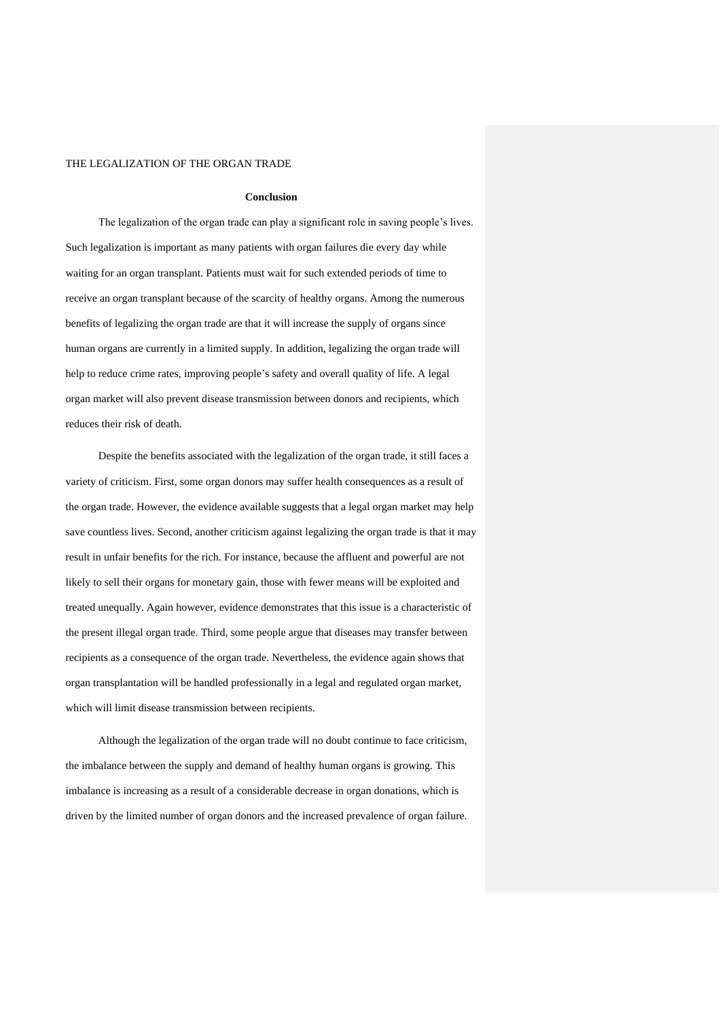#### **Conclusion**

The legalization of the organ trade can play a significant role in saving people's lives. Such legalization is important as many patients with organ failures die every day while waiting for an organ transplant. Patients must wait for such extended periods of time to receive an organ transplant because of the scarcity of healthy organs. Among the numerous benefits of legalizing the organ trade are that it will increase the supply of organs since human organs are currently in a limited supply. In addition, legalizing the organ trade will help to reduce crime rates, improving people's safety and overall quality of life. A legal organ market will also prevent disease transmission between donors and recipients, which reduces their risk of death.

Despite the benefits associated with the legalization of the organ trade, it still faces a variety of criticism. First, some organ donors may suffer health consequences as a result of the organ trade. However, the evidence available suggests that a legal organ market may help save countless lives. Second, another criticism against legalizing the organ trade is that it may result in unfair benefits for the rich. For instance, because the affluent and powerful are not likely to sell their organs for monetary gain, those with fewer means will be exploited and treated unequally. Again however, evidence demonstrates that this issue is a characteristic of the present illegal organ trade. Third, some people argue that diseases may transfer between recipients as a consequence of the organ trade. Nevertheless, the evidence again shows that organ transplantation will be handled professionally in a legal and regulated organ market, which will limit disease transmission between recipients.

Although the legalization of the organ trade will no doubt continue to face criticism, the imbalance between the supply and demand of healthy human organs is growing. This imbalance is increasing as a result of a considerable decrease in organ donations, which is driven by the limited number of organ donors and the increased prevalence of organ failure.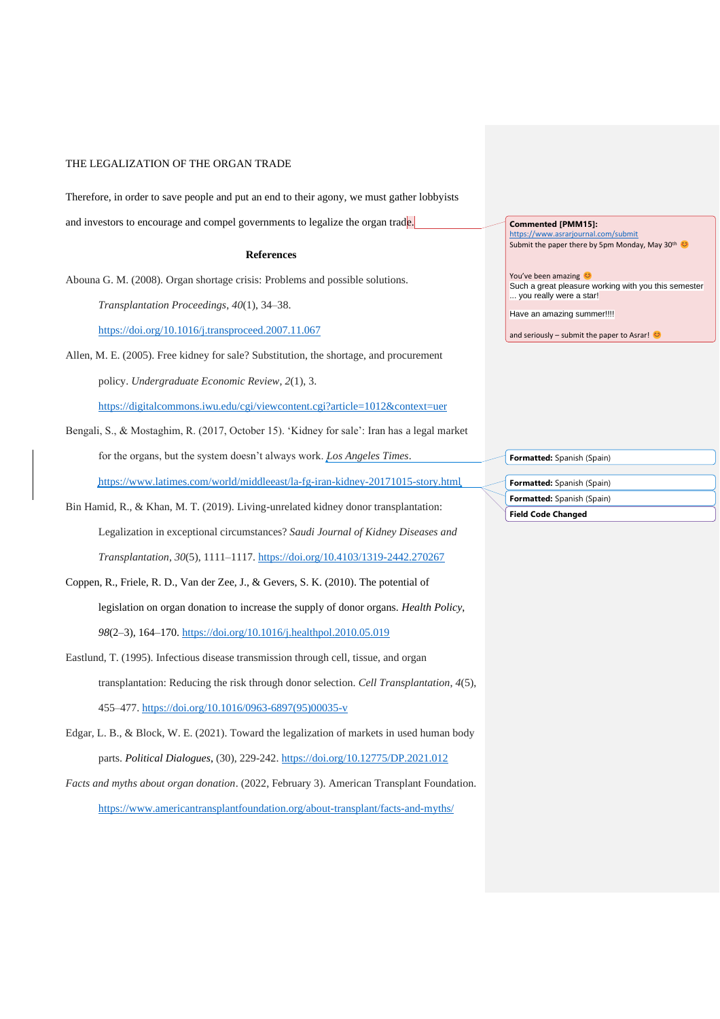Therefore, in order to save people and put an end to their agony, we must gather lobbyists

and investors to encourage and compel governments to legalize the organ trade.

### **References**

Abouna G. M. (2008). Organ shortage crisis: Problems and possible solutions.

*Transplantation Proceedings*, *40*(1), 34–38.

<https://doi.org/10.1016/j.transproceed.2007.11.067>

Allen, M. E. (2005). Free kidney for sale? Substitution, the shortage, and procurement

policy. *Undergraduate Economic Review*, *2*(1), 3.

<https://digitalcommons.iwu.edu/cgi/viewcontent.cgi?article=1012&context=uer>

Bengali, S., & Mostaghim, R. (2017, October 15). 'Kidney for sale': Iran has a legal market for the organs, but the system doesn't always work. *Los Angeles Times*. <https://www.latimes.com/world/middleeast/la-fg-iran-kidney-20171015-story.html>

Bin Hamid, R., & Khan, M. T. (2019). Living-unrelated kidney donor transplantation: Legalization in exceptional circumstances? *Saudi Journal of Kidney Diseases and Transplantation*, *30*(5), 1111–1117.<https://doi.org/10.4103/1319-2442.270267>

- Coppen, R., Friele, R. D., Van der Zee, J., & Gevers, S. K. (2010). The potential of legislation on organ donation to increase the supply of donor organs. *Health Policy*, *98*(2–3), 164–170.<https://doi.org/10.1016/j.healthpol.2010.05.019>
- Eastlund, T. (1995). Infectious disease transmission through cell, tissue, and organ transplantation: Reducing the risk through donor selection. *Cell Transplantation*, *4*(5), 455–477. [https://doi.org/10.1016/0963-6897\(95\)00035-v](https://doi.org/10.1016/0963-6897(95)00035-v)
- Edgar, L. B., & Block, W. E. (2021). Toward the legalization of markets in used human body parts. *Political Dialogues*, (30), 229-242.<https://doi.org/10.12775/DP.2021.012>
- *Facts and myths about organ donation*. (2022, February 3). American Transplant Foundation. <https://www.americantransplantfoundation.org/about-transplant/facts-and-myths/>

**Commented [PMM15]:** 

<https://www.asrarjournal.com/submit> Submit the paper there by 5pm Monday, May 30<sup>th</sup>

You've been amazing Such a great pleasure working with you this semester ... you really were a star!

Have an amazing summer!!!!

and seriously – submit the paper to Asrar!

| <b>Field Code Changed</b>         |
|-----------------------------------|
| Formatted: Spanish (Spain)        |
| <b>Formatted:</b> Spanish (Spain) |
|                                   |
| Formatted: Spanish (Spain)        |
|                                   |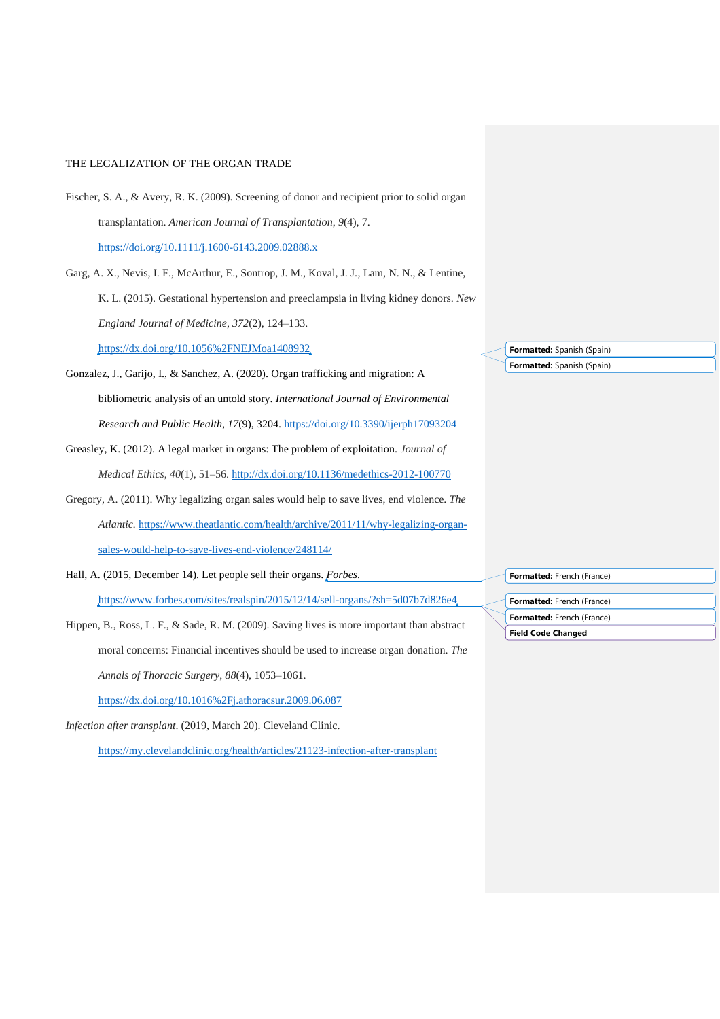Fischer, S. A., & Avery, R. K. (2009). Screening of donor and recipient prior to solid organ transplantation. *American Journal of Transplantation*, *9*(4), 7. <https://doi.org/10.1111/j.1600-6143.2009.02888.x>

Garg, A. X., Nevis, I. F., McArthur, E., Sontrop, J. M., Koval, J. J., Lam, N. N., & Lentine, K. L. (2015). Gestational hypertension and preeclampsia in living kidney donors. *New England Journal of Medicine*, *372*(2), 124–133. <https://dx.doi.org/10.1056%2FNEJMoa1408932>

- Gonzalez, J., Garijo, I., & Sanchez, A. (2020). Organ trafficking and migration: A bibliometric analysis of an untold story. *International Journal of Environmental Research and Public Health*, *17*(9), 3204.<https://doi.org/10.3390/ijerph17093204>
- Greasley, K. (2012). A legal market in organs: The problem of exploitation. *Journal of Medical Ethics*, *40*(1), 51–56.<http://dx.doi.org/10.1136/medethics-2012-100770>
- Gregory, A. (2011). Why legalizing organ sales would help to save lives, end violence. *The Atlantic.* [https://www.theatlantic.com/health/archive/2011/11/why-legalizing-organ](https://www.theatlantic.com/health/archive/2011/11/why-legalizing-organ-sales-would-help-to-save-lives-end-violence/248114/)[sales-would-help-to-save-lives-end-violence/248114/](https://www.theatlantic.com/health/archive/2011/11/why-legalizing-organ-sales-would-help-to-save-lives-end-violence/248114/)
- Hall, A. (2015, December 14). Let people sell their organs. *Forbes*. <https://www.forbes.com/sites/realspin/2015/12/14/sell-organs/?sh=5d07b7d826e4>

Hippen, B., Ross, L. F., & Sade, R. M. (2009). Saving lives is more important than abstract moral concerns: Financial incentives should be used to increase organ donation. *The Annals of Thoracic Surgery*, *88*(4), 1053–1061.

<https://dx.doi.org/10.1016%2Fj.athoracsur.2009.06.087>

*Infection after transplant*. (2019, March 20). Cleveland Clinic.

<https://my.clevelandclinic.org/health/articles/21123-infection-after-transplant>

**Formatted:** Spanish (Spain) **Formatted:** Spanish (Spain)

**Formatted:** French (France)

**Field Code Changed Formatted:** French (France) **Formatted:** French (France)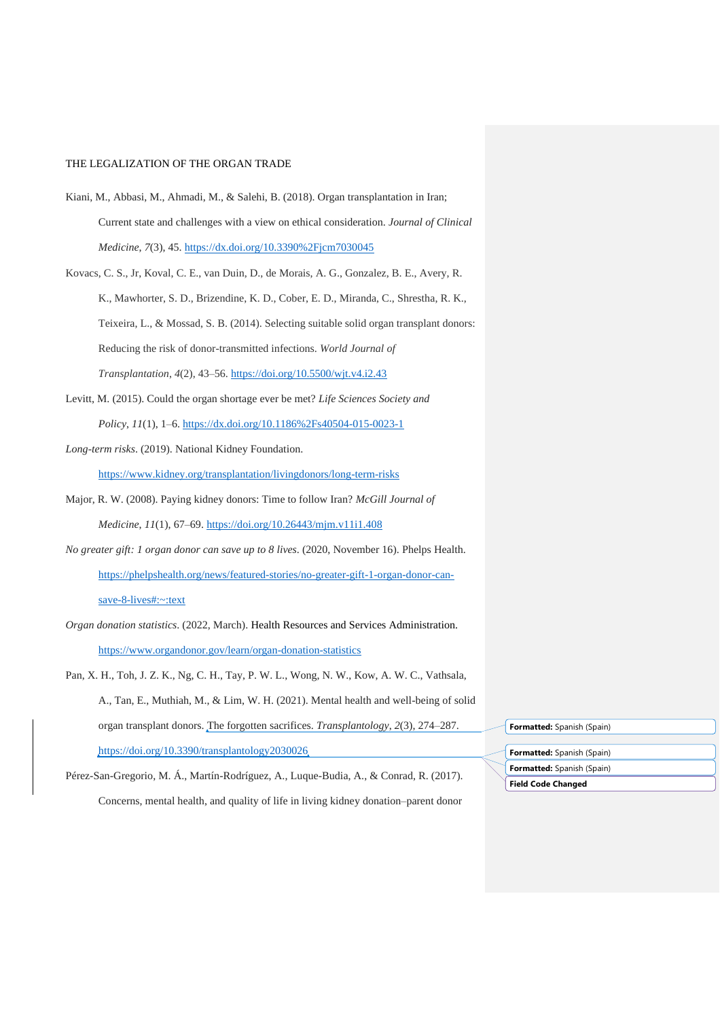- Kiani, M., Abbasi, M., Ahmadi, M., & Salehi, B. (2018). Organ transplantation in Iran; Current state and challenges with a view on ethical consideration. *Journal of Clinical Medicine*, *7*(3), 45.<https://dx.doi.org/10.3390%2Fjcm7030045>
- Kovacs, C. S., Jr, Koval, C. E., van Duin, D., de Morais, A. G., Gonzalez, B. E., Avery, R. K., Mawhorter, S. D., Brizendine, K. D., Cober, E. D., Miranda, C., Shrestha, R. K., Teixeira, L., & Mossad, S. B. (2014). Selecting suitable solid organ transplant donors: Reducing the risk of donor-transmitted infections. *World Journal of Transplantation*, *4*(2), 43–56.<https://doi.org/10.5500/wjt.v4.i2.43>
- Levitt, M. (2015). Could the organ shortage ever be met? *Life Sciences Society and Policy*, *11*(1), 1–6.<https://dx.doi.org/10.1186%2Fs40504-015-0023-1>
- *Long-term risks*. (2019). National Kidney Foundation.

<https://www.kidney.org/transplantation/livingdonors/long-term-risks>

- Major, R. W. (2008). Paying kidney donors: Time to follow Iran? *McGill Journal of Medicine*, *11*(1), 67–69.<https://doi.org/10.26443/mjm.v11i1.408>
- *No greater gift: 1 organ donor can save up to 8 lives*. (2020, November 16). Phelps Health. [https://phelpshealth.org/news/featured-stories/no-greater-gift-1-organ-donor-can](https://phelpshealth.org/news/featured-stories/no-greater-gift-1-organ-donor-can-save-8-lives#:~:text )[save-8-lives#:~:text](https://phelpshealth.org/news/featured-stories/no-greater-gift-1-organ-donor-can-save-8-lives#:~:text )
- *Organ donation statistics*. (2022, March). Health Resources and Services Administration. <https://www.organdonor.gov/learn/organ-donation-statistics>
- Pan, X. H., Toh, J. Z. K., Ng, C. H., Tay, P. W. L., Wong, N. W., Kow, A. W. C., Vathsala, A., Tan, E., Muthiah, M., & Lim, W. H. (2021). Mental health and well-being of solid organ transplant donors. The forgotten sacrifices. *Transplantology*, *2*(3), 274–287. <https://doi.org/10.3390/transplantology2030026>
- Pérez-San-Gregorio, M. Á., Martín-Rodríguez, A., Luque-Budia, A., & Conrad, R. (2017). Concerns, mental health, and quality of life in living kidney donation–parent donor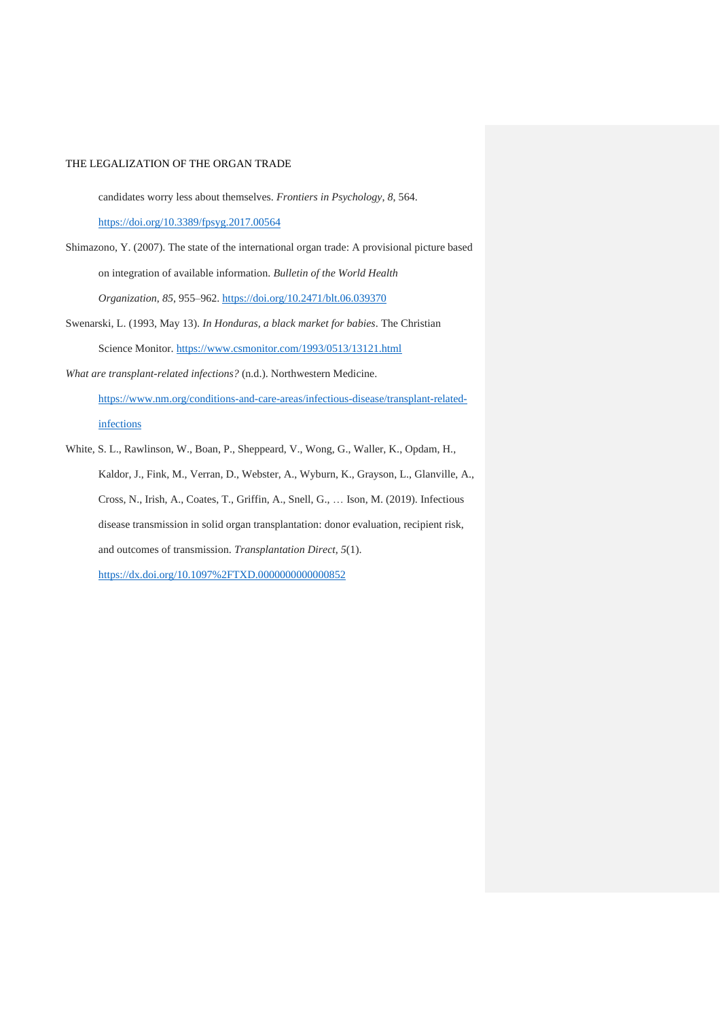candidates worry less about themselves. *Frontiers in Psychology*, *8*, 564. <https://doi.org/10.3389/fpsyg.2017.00564>

- Shimazono, Y. (2007). The state of the international organ trade: A provisional picture based on integration of available information. *Bulletin of the World Health Organization*, *85*, 955–962.<https://doi.org/10.2471/blt.06.039370>
- Swenarski, L. (1993, May 13). *In Honduras, a black market for babies*. The Christian Science Monitor. <https://www.csmonitor.com/1993/0513/13121.html>
- *What are transplant-related infections?* (n.d.). Northwestern Medicine. [https://www.nm.org/conditions-and-care-areas/infectious-disease/transplant-related](https://www.nm.org/conditions-and-care-areas/infectious-disease/transplant-related-infections)[infections](https://www.nm.org/conditions-and-care-areas/infectious-disease/transplant-related-infections)
- White, S. L., Rawlinson, W., Boan, P., Sheppeard, V., Wong, G., Waller, K., Opdam, H., Kaldor, J., Fink, M., Verran, D., Webster, A., Wyburn, K., Grayson, L., Glanville, A., Cross, N., Irish, A., Coates, T., Griffin, A., Snell, G., … Ison, M. (2019). Infectious disease transmission in solid organ transplantation: donor evaluation, recipient risk, and outcomes of transmission. *Transplantation Direct*, *5*(1). <https://dx.doi.org/10.1097%2FTXD.0000000000000852>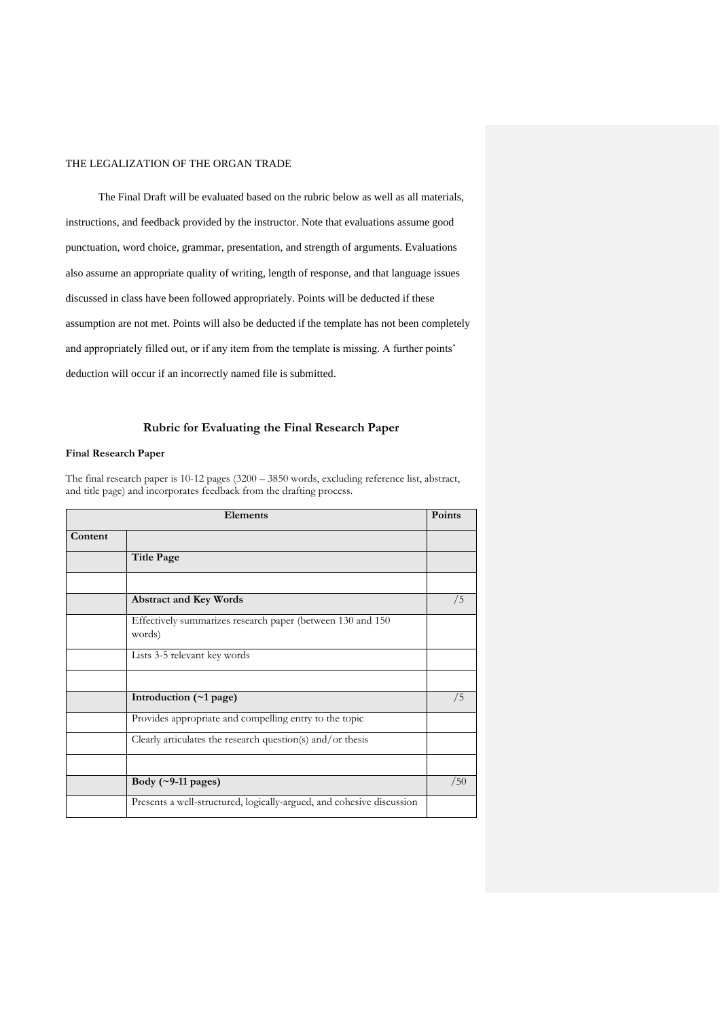The Final Draft will be evaluated based on the rubric below as well as all materials, instructions, and feedback provided by the instructor. Note that evaluations assume good punctuation, word choice, grammar, presentation, and strength of arguments. Evaluations also assume an appropriate quality of writing, length of response, and that language issues discussed in class have been followed appropriately. Points will be deducted if these assumption are not met. Points will also be deducted if the template has not been completely and appropriately filled out, or if any item from the template is missing. A further points' deduction will occur if an incorrectly named file is submitted.

### **Rubric for Evaluating the Final Research Paper**

### **Final Research Paper**

The final research paper is 10-12 pages (3200 – 3850 words, excluding reference list, abstract, and title page) and incorporates feedback from the drafting process.

| Elements |                                                                       | Points |
|----------|-----------------------------------------------------------------------|--------|
| Content  |                                                                       |        |
|          | <b>Title Page</b>                                                     |        |
|          |                                                                       |        |
|          | <b>Abstract and Key Words</b>                                         | /5     |
|          | Effectively summarizes research paper (between 130 and 150<br>words)  |        |
|          | Lists 3-5 relevant key words                                          |        |
|          |                                                                       |        |
|          | Introduction $(\sim 1$ page)                                          | /5     |
|          | Provides appropriate and compelling entry to the topic                |        |
|          | Clearly articulates the research question(s) and/or thesis            |        |
|          |                                                                       |        |
|          | Body $(\sim 9-11$ pages)                                              | /50    |
|          | Presents a well-structured, logically-argued, and cohesive discussion |        |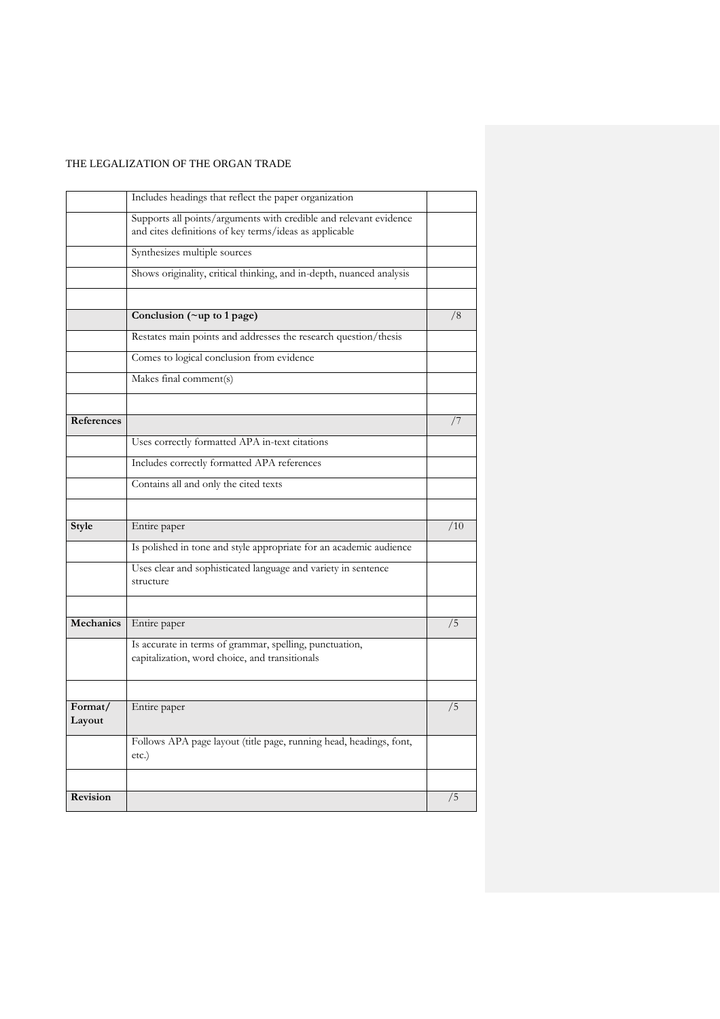|                  | Includes headings that reflect the paper organization                                                                       |     |
|------------------|-----------------------------------------------------------------------------------------------------------------------------|-----|
|                  | Supports all points/arguments with credible and relevant evidence<br>and cites definitions of key terms/ideas as applicable |     |
|                  | Synthesizes multiple sources                                                                                                |     |
|                  | Shows originality, critical thinking, and in-depth, nuanced analysis                                                        |     |
|                  |                                                                                                                             |     |
|                  | Conclusion (~up to 1 page)                                                                                                  | /8  |
|                  | Restates main points and addresses the research question/thesis                                                             |     |
|                  | Comes to logical conclusion from evidence                                                                                   |     |
|                  | Makes final comment(s)                                                                                                      |     |
| References       |                                                                                                                             | /7  |
|                  | Uses correctly formatted APA in-text citations                                                                              |     |
|                  | Includes correctly formatted APA references                                                                                 |     |
|                  |                                                                                                                             |     |
|                  | Contains all and only the cited texts                                                                                       |     |
| Style            | Entire paper                                                                                                                | /10 |
|                  | Is polished in tone and style appropriate for an academic audience                                                          |     |
|                  | Uses clear and sophisticated language and variety in sentence<br>structure                                                  |     |
| <b>Mechanics</b> |                                                                                                                             | /5  |
|                  | Entire paper                                                                                                                |     |
|                  | Is accurate in terms of grammar, spelling, punctuation,<br>capitalization, word choice, and transitionals                   |     |
| Format/          |                                                                                                                             | /5  |
| Layout           | Entire paper                                                                                                                |     |
|                  | Follows APA page layout (title page, running head, headings, font,<br>$etc.$ )                                              |     |
|                  |                                                                                                                             |     |
| Revision         |                                                                                                                             | /5  |